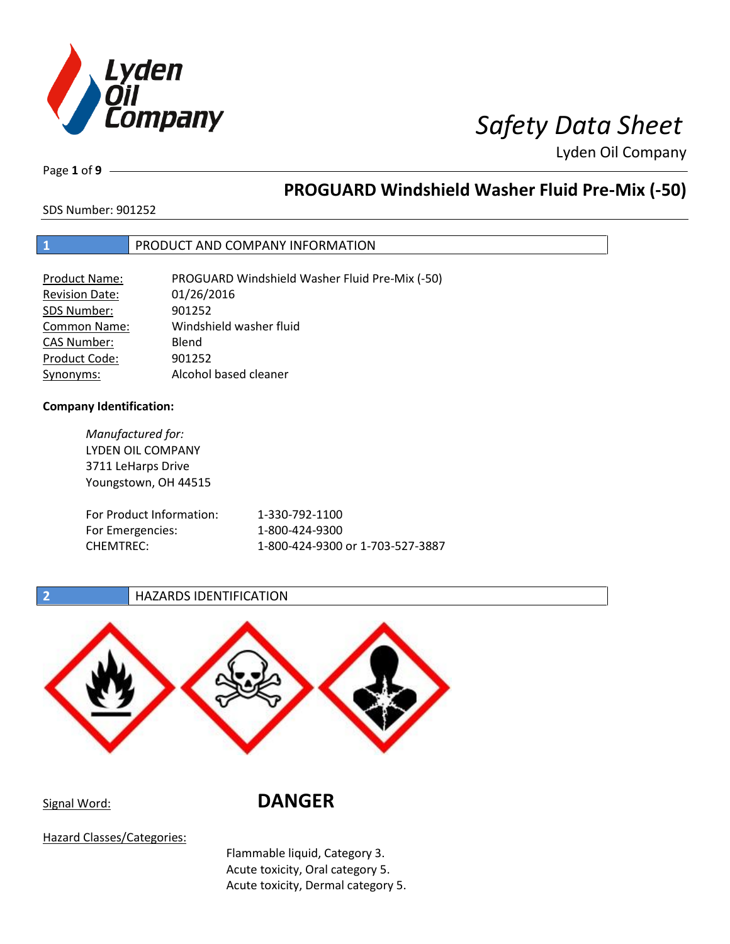

# *<i>I*<br> *Safety Data Sheet*

Lyden Oil Company

Page **1** of **9**

# **PROGUARD Windshield Washer Fluid Pre-Mix (-50)**

SDS Number: 901252

# **1** PRODUCT AND COMPANY INFORMATION

| Product Name:         | PROGUARD Windshield Washer Fluid Pre-Mix (-50) |
|-----------------------|------------------------------------------------|
| <b>Revision Date:</b> | 01/26/2016                                     |
| SDS Number:           | 901252                                         |
| <b>Common Name:</b>   | Windshield washer fluid                        |
| <b>CAS Number:</b>    | Blend                                          |
| Product Code:         | 901252                                         |
| Synonyms:             | Alcohol based cleaner                          |

### **Company Identification:**

CHEMTREC:

*Manufactured for:* LYDEN OIL COMPANY 3711 LeHarps Drive Youngstown, OH 44515 For Product Information: 1-330-792-1100 For Emergencies

| ormation: | 1-330-792-1100                   |
|-----------|----------------------------------|
| s:        | 1-800-424-9300                   |
|           | 1-800-424-9300 or 1-703-527-3887 |

### **2 HAZARDS IDENTIFICATION**



# Signal Word: **DANGER**

Hazard Classes/Categories:

Flammable liquid, Category 3. Acute toxicity, Oral category 5. Acute toxicity, Dermal category 5.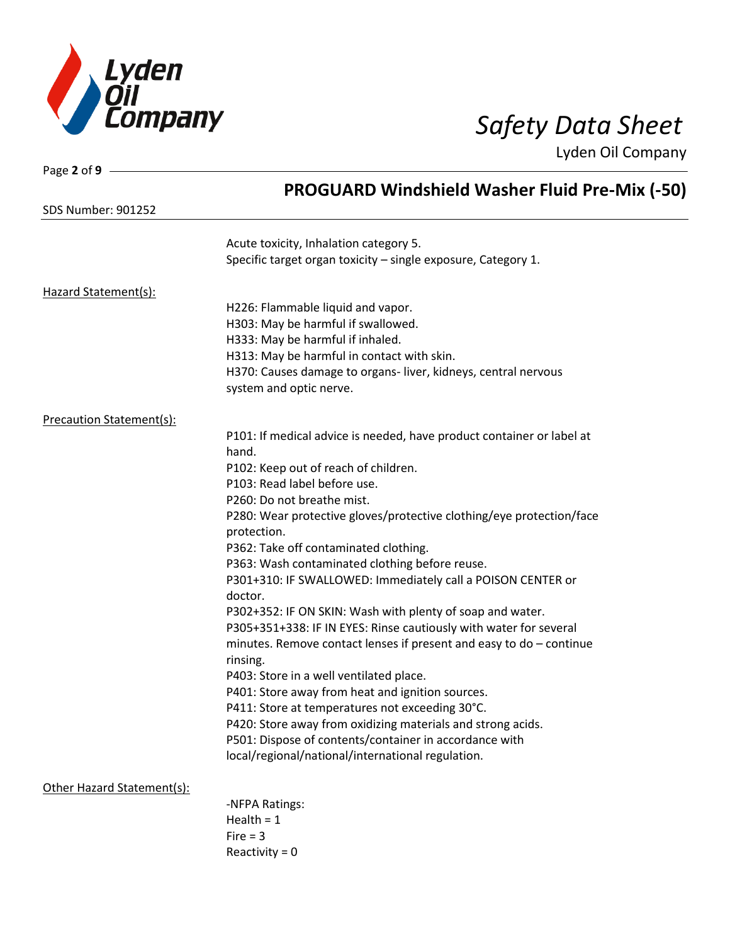

Page **2** of **9**

Lyden Oil Company

|                                 | <b>PROGUARD Windshield Washer Fluid Pre-Mix (-50)</b>                                       |
|---------------------------------|---------------------------------------------------------------------------------------------|
| <b>SDS Number: 901252</b>       |                                                                                             |
|                                 | Acute toxicity, Inhalation category 5.                                                      |
|                                 | Specific target organ toxicity - single exposure, Category 1.                               |
| Hazard Statement(s):            |                                                                                             |
|                                 | H226: Flammable liquid and vapor.                                                           |
|                                 | H303: May be harmful if swallowed.                                                          |
|                                 | H333: May be harmful if inhaled.                                                            |
|                                 | H313: May be harmful in contact with skin.                                                  |
|                                 | H370: Causes damage to organs-liver, kidneys, central nervous                               |
|                                 | system and optic nerve.                                                                     |
| <b>Precaution Statement(s):</b> |                                                                                             |
|                                 | P101: If medical advice is needed, have product container or label at                       |
|                                 | hand.                                                                                       |
|                                 | P102: Keep out of reach of children.                                                        |
|                                 | P103: Read label before use.                                                                |
|                                 | P260: Do not breathe mist.                                                                  |
|                                 | P280: Wear protective gloves/protective clothing/eye protection/face                        |
|                                 | protection.                                                                                 |
|                                 | P362: Take off contaminated clothing.                                                       |
|                                 | P363: Wash contaminated clothing before reuse.                                              |
|                                 | P301+310: IF SWALLOWED: Immediately call a POISON CENTER or                                 |
|                                 | doctor.                                                                                     |
|                                 | P302+352: IF ON SKIN: Wash with plenty of soap and water.                                   |
|                                 | P305+351+338: IF IN EYES: Rinse cautiously with water for several                           |
|                                 | minutes. Remove contact lenses if present and easy to do - continue                         |
|                                 | rinsing.                                                                                    |
|                                 | P403: Store in a well ventilated place.<br>P401: Store away from heat and ignition sources. |
|                                 | P411: Store at temperatures not exceeding 30°C.                                             |
|                                 | P420: Store away from oxidizing materials and strong acids.                                 |
|                                 | P501: Dispose of contents/container in accordance with                                      |
|                                 | local/regional/national/international regulation.                                           |
| Other Hazard Statement(s):      |                                                                                             |
|                                 | -NFPA Ratings:                                                                              |
|                                 | Health = $1$                                                                                |
|                                 | Fire $=$ 3                                                                                  |
|                                 | Reactivity = $0$                                                                            |
|                                 |                                                                                             |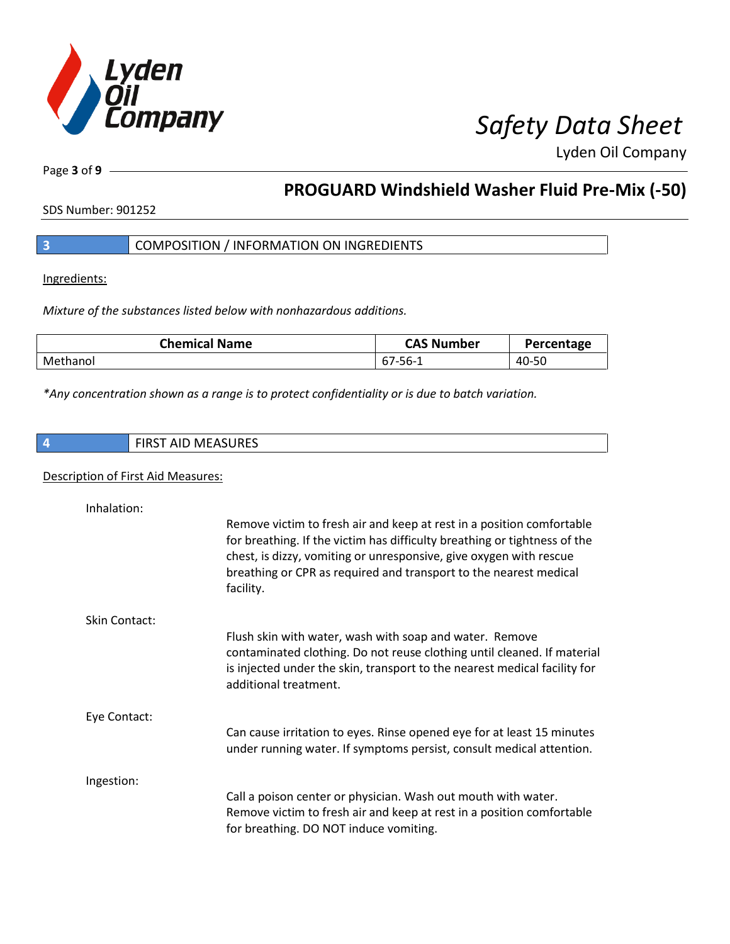

Page **3** of **9**

# **PROGUARD Windshield Washer Fluid Pre-Mix (-50)**

SDS Number: 901252

Ingredients:

*Mixture of the substances listed below with nonhazardous additions.*

| <b>Chemical Name</b> | <b>CAS Number</b> | Percentage |
|----------------------|-------------------|------------|
| Methanol             | -סכ<br>- O / -    | 40-50      |

*\*Any concentration shown as a range is to protect confidentiality or is due to batch variation.*

### Description of First Aid Measures:

| Inhalation:   |                                                                                                                                                                                                                                                                                                            |
|---------------|------------------------------------------------------------------------------------------------------------------------------------------------------------------------------------------------------------------------------------------------------------------------------------------------------------|
|               | Remove victim to fresh air and keep at rest in a position comfortable<br>for breathing. If the victim has difficulty breathing or tightness of the<br>chest, is dizzy, vomiting or unresponsive, give oxygen with rescue<br>breathing or CPR as required and transport to the nearest medical<br>facility. |
| Skin Contact: |                                                                                                                                                                                                                                                                                                            |
|               | Flush skin with water, wash with soap and water. Remove<br>contaminated clothing. Do not reuse clothing until cleaned. If material<br>is injected under the skin, transport to the nearest medical facility for<br>additional treatment.                                                                   |
| Eye Contact:  |                                                                                                                                                                                                                                                                                                            |
|               | Can cause irritation to eyes. Rinse opened eye for at least 15 minutes<br>under running water. If symptoms persist, consult medical attention.                                                                                                                                                             |
| Ingestion:    |                                                                                                                                                                                                                                                                                                            |
|               | Call a poison center or physician. Wash out mouth with water.<br>Remove victim to fresh air and keep at rest in a position comfortable<br>for breathing. DO NOT induce vomiting.                                                                                                                           |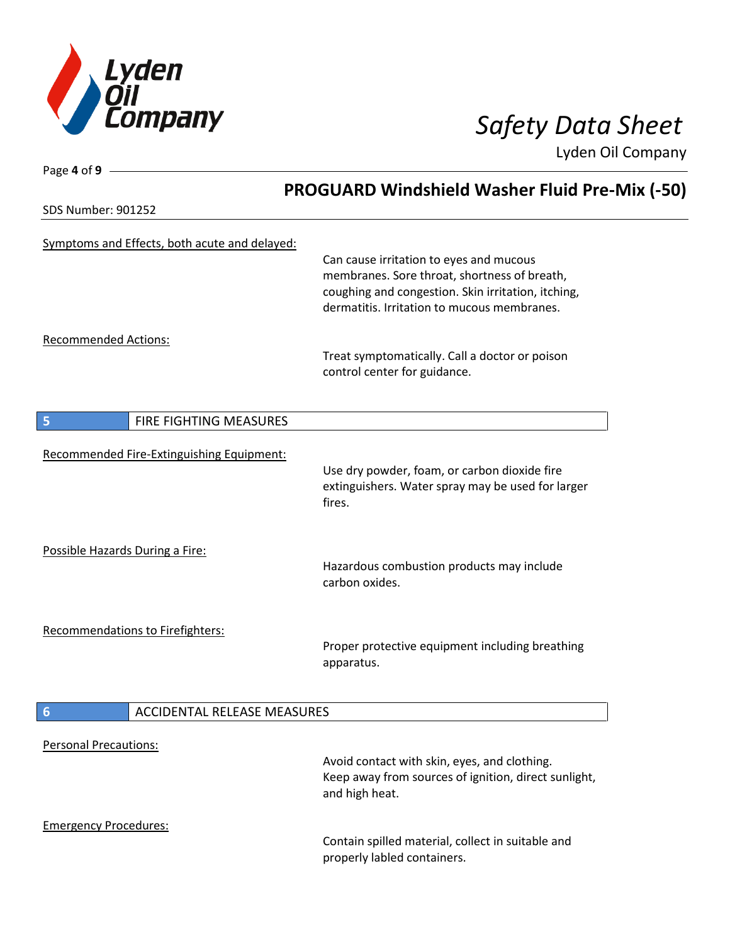

| Page 4 of 9                                   |                                                                                                                                                                                              |
|-----------------------------------------------|----------------------------------------------------------------------------------------------------------------------------------------------------------------------------------------------|
|                                               | <b>PROGUARD Windshield Washer Fluid Pre-Mix (-50)</b>                                                                                                                                        |
| <b>SDS Number: 901252</b>                     |                                                                                                                                                                                              |
| Symptoms and Effects, both acute and delayed: | Can cause irritation to eyes and mucous<br>membranes. Sore throat, shortness of breath,<br>coughing and congestion. Skin irritation, itching,<br>dermatitis. Irritation to mucous membranes. |
|                                               |                                                                                                                                                                                              |
| <b>Recommended Actions:</b>                   | Treat symptomatically. Call a doctor or poison<br>control center for guidance.                                                                                                               |
| 5<br>FIRE FIGHTING MEASURES                   |                                                                                                                                                                                              |
| Recommended Fire-Extinguishing Equipment:     | Use dry powder, foam, or carbon dioxide fire<br>extinguishers. Water spray may be used for larger<br>fires.                                                                                  |
| Possible Hazards During a Fire:               | Hazardous combustion products may include<br>carbon oxides.                                                                                                                                  |
| Recommendations to Firefighters:              | Proper protective equipment including breathing<br>apparatus.                                                                                                                                |
| 6<br><b>ACCIDENTAL RELEASE MEASURES</b>       |                                                                                                                                                                                              |
| <b>Personal Precautions:</b>                  | Avoid contact with skin, eyes, and clothing.<br>Keep away from sources of ignition, direct sunlight,                                                                                         |
| <b>Emergency Procedures:</b>                  | and high heat.<br>Contain spilled material, collect in suitable and<br>properly labled containers.                                                                                           |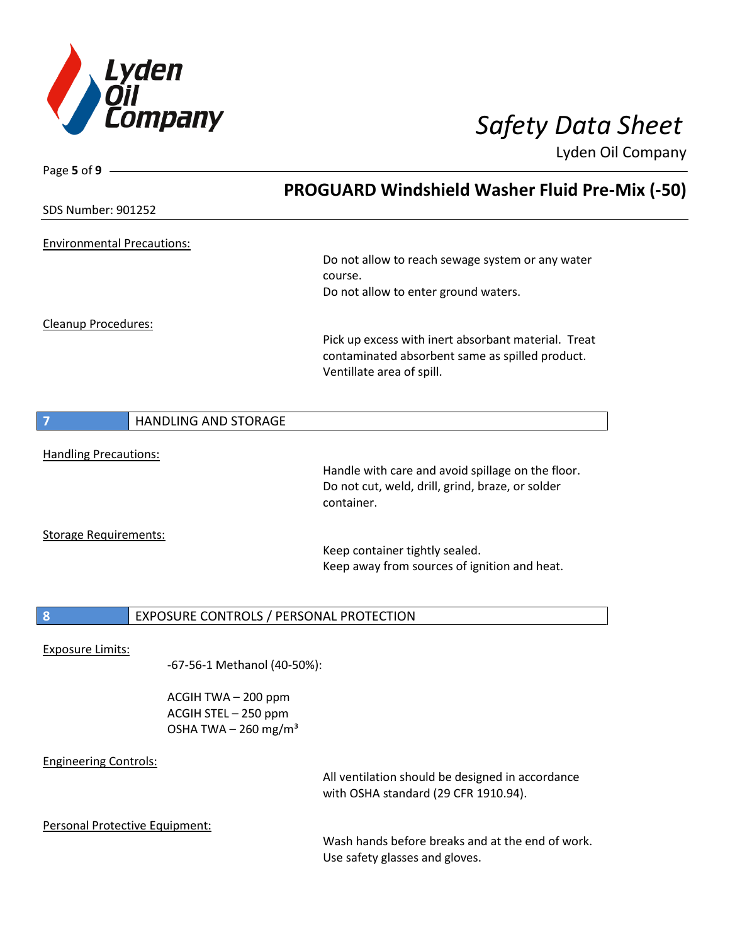

| Page 5 of 9                       |                                         |                                                                                                       |  |
|-----------------------------------|-----------------------------------------|-------------------------------------------------------------------------------------------------------|--|
|                                   |                                         | <b>PROGUARD Windshield Washer Fluid Pre-Mix (-50)</b>                                                 |  |
| <b>SDS Number: 901252</b>         |                                         |                                                                                                       |  |
|                                   |                                         |                                                                                                       |  |
| <b>Environmental Precautions:</b> |                                         | Do not allow to reach sewage system or any water                                                      |  |
|                                   |                                         | course.                                                                                               |  |
|                                   |                                         | Do not allow to enter ground waters.                                                                  |  |
| Cleanup Procedures:               |                                         |                                                                                                       |  |
|                                   |                                         | Pick up excess with inert absorbant material. Treat                                                   |  |
|                                   |                                         | contaminated absorbent same as spilled product.<br>Ventillate area of spill.                          |  |
|                                   |                                         |                                                                                                       |  |
| 7                                 | HANDLING AND STORAGE                    |                                                                                                       |  |
|                                   |                                         |                                                                                                       |  |
| <b>Handling Precautions:</b>      |                                         |                                                                                                       |  |
|                                   |                                         | Handle with care and avoid spillage on the floor.<br>Do not cut, weld, drill, grind, braze, or solder |  |
|                                   |                                         | container.                                                                                            |  |
| <b>Storage Requirements:</b>      |                                         |                                                                                                       |  |
|                                   |                                         | Keep container tightly sealed.                                                                        |  |
|                                   |                                         | Keep away from sources of ignition and heat.                                                          |  |
|                                   |                                         |                                                                                                       |  |
| $\boldsymbol{8}$                  | EXPOSURE CONTROLS / PERSONAL PROTECTION |                                                                                                       |  |
| <b>Exposure Limits:</b>           |                                         |                                                                                                       |  |
|                                   | -67-56-1 Methanol (40-50%):             |                                                                                                       |  |
|                                   | ACGIH TWA - 200 ppm                     |                                                                                                       |  |
|                                   | ACGIH STEL - 250 ppm                    |                                                                                                       |  |
|                                   | OSHA TWA $-$ 260 mg/m <sup>3</sup>      |                                                                                                       |  |
| <b>Engineering Controls:</b>      |                                         |                                                                                                       |  |
|                                   |                                         | All ventilation should be designed in accordance                                                      |  |
|                                   |                                         | with OSHA standard (29 CFR 1910.94).                                                                  |  |
| Personal Protective Equipment:    |                                         |                                                                                                       |  |
|                                   |                                         | Wash bands before breaks and at the end of work                                                       |  |

Wash hands before breaks and at the end of work. Use safety glasses and gloves.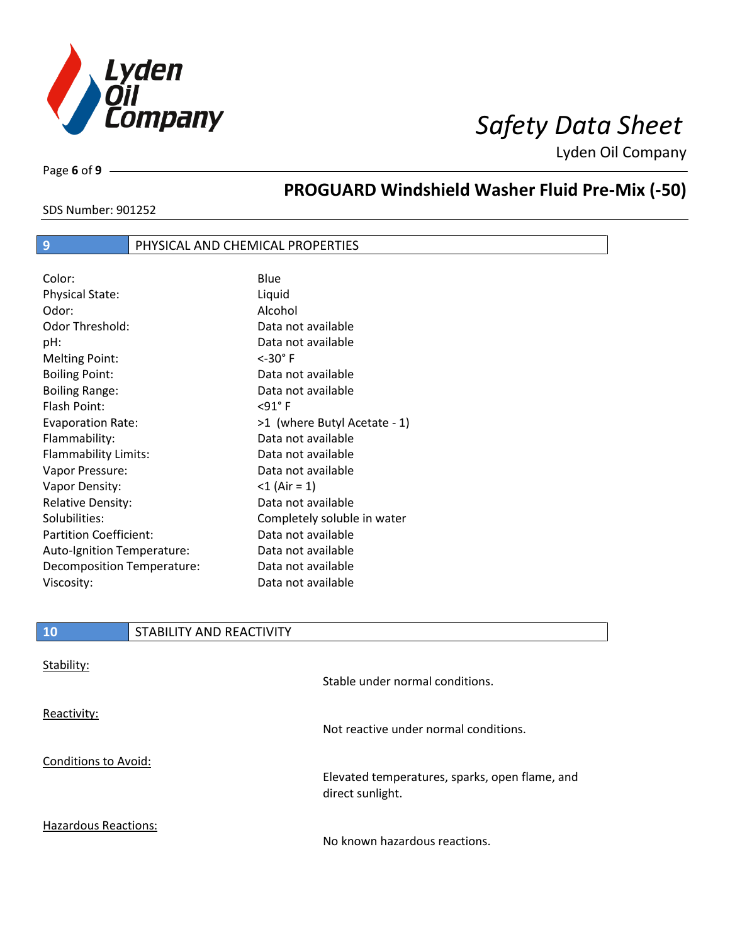

Page **6** of **9**

# **PROGUARD Windshield Washer Fluid Pre-Mix (-50)**

SDS Number: 901252

# **9** PHYSICAL AND CHEMICAL PROPERTIES

Color: Blue Physical State: Liquid Odor: Alcohol Odor Threshold: Data not available pH: Data not available Melting Point: <-30° F Boiling Point: Data not available Boiling Range: The Contract Contract Data not available Flash Point: <91° F Evaporation Rate:  $>1$  (where Butyl Acetate - 1) Flammability: Data not available Flammability Limits: Data not available Vapor Pressure: Data not available Vapor Density: <1 (Air = 1) Relative Density: Nelative Data not available Solubilities: Completely soluble in water Partition Coefficient: Data not available Auto-Ignition Temperature: Data not available Decomposition Temperature: Data not available Viscosity: Data not available

| <b>10</b>            | STABILITY AND REACTIVITY |                                                |
|----------------------|--------------------------|------------------------------------------------|
| Stability:           |                          | Stable under normal conditions.                |
| Reactivity:          |                          | Not reactive under normal conditions.          |
| Conditions to Avoid: |                          | Elevated temperatures, sparks, open flame, and |

Hazardous Reactions:

No known hazardous reactions.

direct sunlight.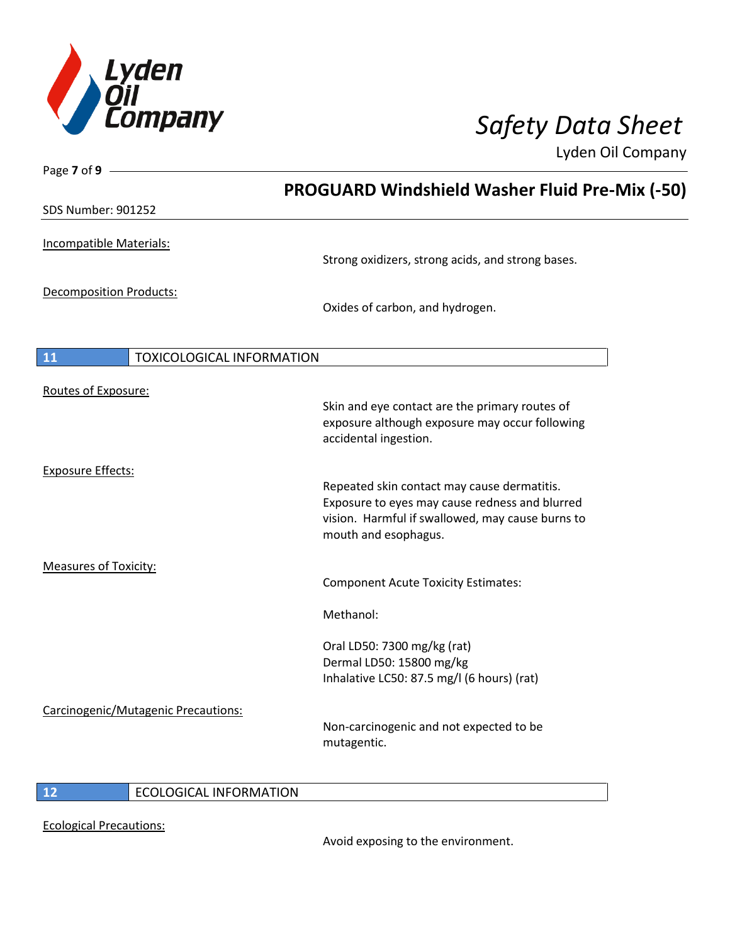

| Page 7 of 9 -                       |                                                                                                                                                                           |
|-------------------------------------|---------------------------------------------------------------------------------------------------------------------------------------------------------------------------|
|                                     | <b>PROGUARD Windshield Washer Fluid Pre-Mix (-50)</b>                                                                                                                     |
| <b>SDS Number: 901252</b>           |                                                                                                                                                                           |
| Incompatible Materials:             | Strong oxidizers, strong acids, and strong bases.                                                                                                                         |
| Decomposition Products:             | Oxides of carbon, and hydrogen.                                                                                                                                           |
| 11<br>TOXICOLOGICAL INFORMATION     |                                                                                                                                                                           |
| Routes of Exposure:                 | Skin and eye contact are the primary routes of<br>exposure although exposure may occur following<br>accidental ingestion.                                                 |
| <b>Exposure Effects:</b>            | Repeated skin contact may cause dermatitis.<br>Exposure to eyes may cause redness and blurred<br>vision. Harmful if swallowed, may cause burns to<br>mouth and esophagus. |
| <b>Measures of Toxicity:</b>        | <b>Component Acute Toxicity Estimates:</b><br>Methanol:                                                                                                                   |
|                                     | Oral LD50: 7300 mg/kg (rat)<br>Dermal LD50: 15800 mg/kg<br>Inhalative LC50: 87.5 mg/l (6 hours) (rat)                                                                     |
| Carcinogenic/Mutagenic Precautions: | Non-carcinogenic and not expected to be<br>mutagentic.                                                                                                                    |

# **12** ECOLOGICAL INFORMATION

Ecological Precautions:

Avoid exposing to the environment.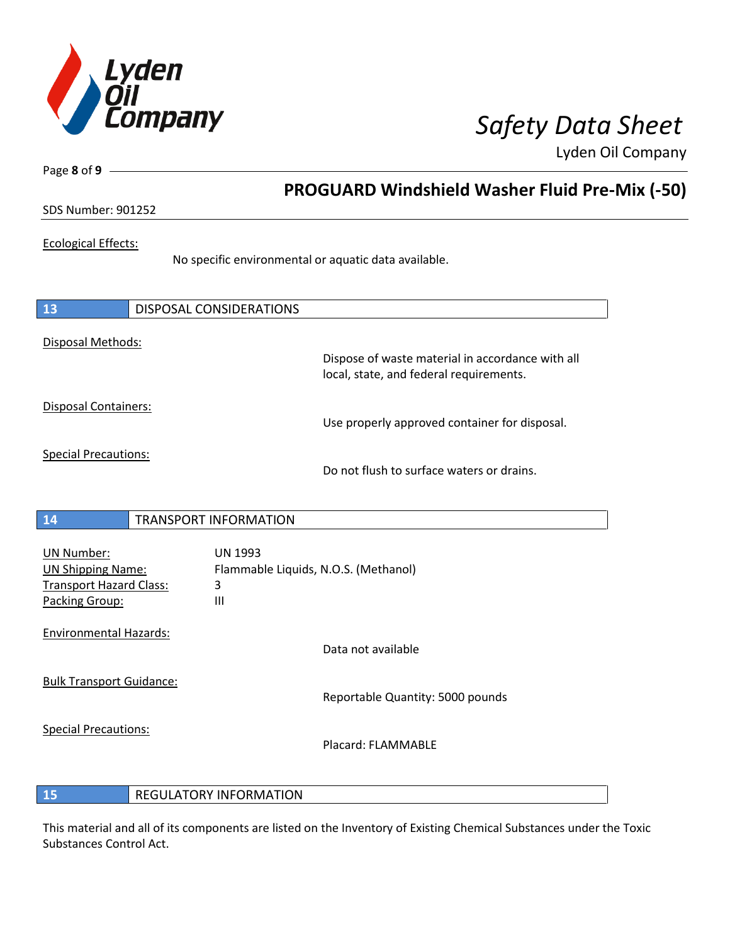

Page **8** of **9**

# **PROGUARD Windshield Washer Fluid Pre-Mix (-50)**

# SDS Number: 901252

### Ecological Effects:

No specific environmental or aquatic data available.

| 13                          | DISPOSAL CONSIDERATIONS |                                                                                             |
|-----------------------------|-------------------------|---------------------------------------------------------------------------------------------|
| Disposal Methods:           |                         | Dispose of waste material in accordance with all<br>local, state, and federal requirements. |
| <b>Disposal Containers:</b> |                         | Use properly approved container for disposal.                                               |
| <b>Special Precautions:</b> |                         | Do not flush to surface waters or drains.                                                   |
| 4A                          | TRANCROPT INFORMATION   |                                                                                             |

# **14** TRANSPORT INFORMATION

| UN Number:<br><b>UN Shipping Name:</b><br><b>Transport Hazard Class:</b><br>Packing Group: | <b>UN 1993</b><br>Flammable Liquids, N.O.S. (Methanol)<br>3<br>Ш |                                  |
|--------------------------------------------------------------------------------------------|------------------------------------------------------------------|----------------------------------|
| <b>Environmental Hazards:</b>                                                              |                                                                  | Data not available               |
| <b>Bulk Transport Guidance:</b>                                                            |                                                                  | Reportable Quantity: 5000 pounds |
| <b>Special Precautions:</b>                                                                |                                                                  | Placard: FLAMMABLF               |

# **15** REGULATORY INFORMATION

This material and all of its components are listed on the Inventory of Existing Chemical Substances under the Toxic Substances Control Act.